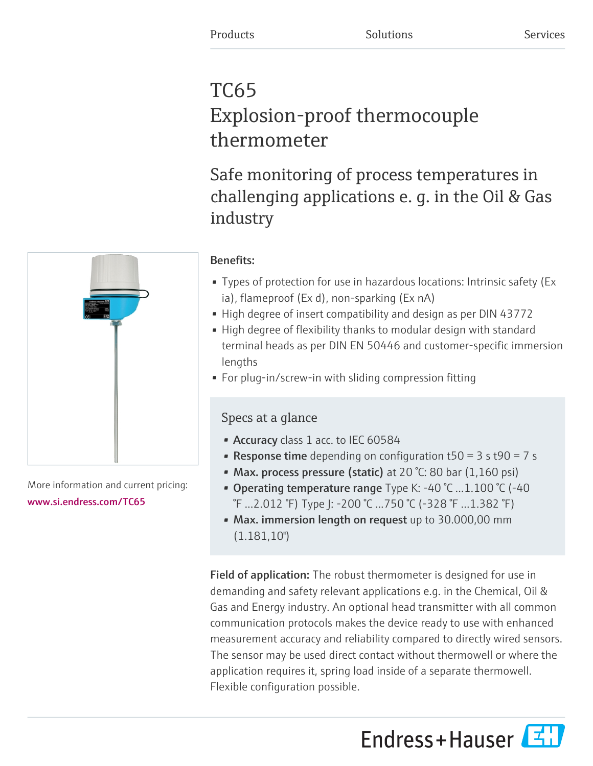# TC65 Explosion-proof thermocouple thermometer

Safe monitoring of process temperatures in challenging applications e. g. in the Oil & Gas industry

# Benefits:

- Types of protection for use in hazardous locations: Intrinsic safety (Ex ia), flameproof (Ex d), non-sparking (Ex nA)
- High degree of insert compatibility and design as per DIN 43772
- High degree of flexibility thanks to modular design with standard terminal heads as per DIN EN 50446 and customer-specific immersion lengths
- For plug-in/screw-in with sliding compression fitting

# Specs at a glance

- Accuracy class 1 acc. to IEC 60584
- **Response time** depending on configuration  $t50 = 3$  s  $t90 = 7$  s
- Max. process pressure (static) at 20 °C: 80 bar (1,160 psi)
- Operating temperature range Type K: -40 °C ...1.100 °C (-40) °F ...2.012 °F) Type J: -200 °C ...750 °C (-328 °F ...1.382 °F)
- Max. immersion length on request up to 30.000,00 mm  $(1.181,10")$

**Field of application:** The robust thermometer is designed for use in demanding and safety relevant applications e.g. in the Chemical, Oil & Gas and Energy industry. An optional head transmitter with all common communication protocols makes the device ready to use with enhanced measurement accuracy and reliability compared to directly wired sensors. The sensor may be used direct contact without thermowell or where the application requires it, spring load inside of a separate thermowell. Flexible configuration possible.

Endress+Hauser



More information and current pricing: [www.si.endress.com/TC65](https://www.si.endress.com/TC65)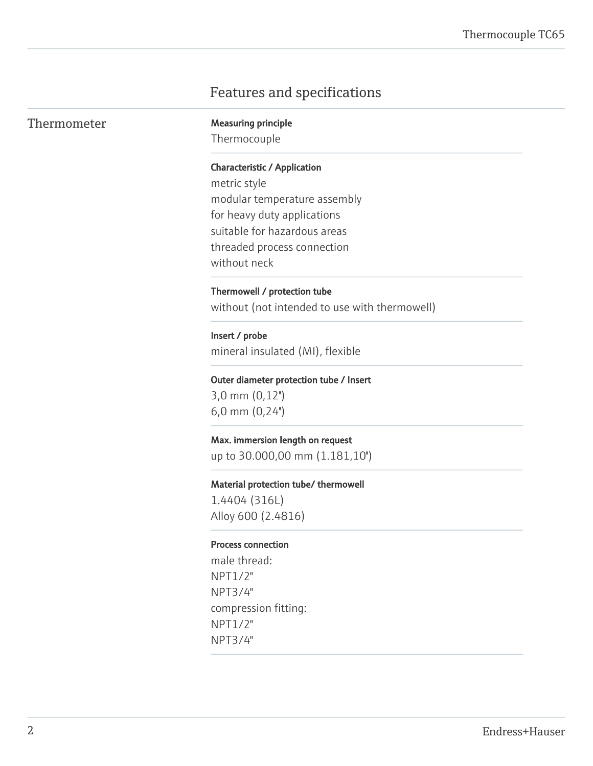# Features and specifications

| Thermometer | <b>Measuring principle</b>                    |
|-------------|-----------------------------------------------|
|             | Thermocouple                                  |
|             | <b>Characteristic / Application</b>           |
|             | metric style                                  |
|             | modular temperature assembly                  |
|             | for heavy duty applications                   |
|             | suitable for hazardous areas                  |
|             | threaded process connection                   |
|             | without neck                                  |
|             | Thermowell / protection tube                  |
|             | without (not intended to use with thermowell) |
|             | Insert / probe                                |
|             | mineral insulated (MI), flexible              |
|             | Outer diameter protection tube / Insert       |
|             | $3,0$ mm $(0,12")$                            |
|             | $6,0$ mm $(0,24)$                             |
|             | Max. immersion length on request              |
|             | up to 30.000,00 mm (1.181,10")                |
|             | Material protection tube/ thermowell          |
|             | 1.4404 (316L)                                 |
|             | Alloy 600 (2.4816)                            |
|             | <b>Process connection</b>                     |
|             | male thread:                                  |
|             | NPT1/2"                                       |
|             | NPT3/4"                                       |
|             | compression fitting:                          |
|             | NPT1/2"                                       |
|             | NPT3/4"                                       |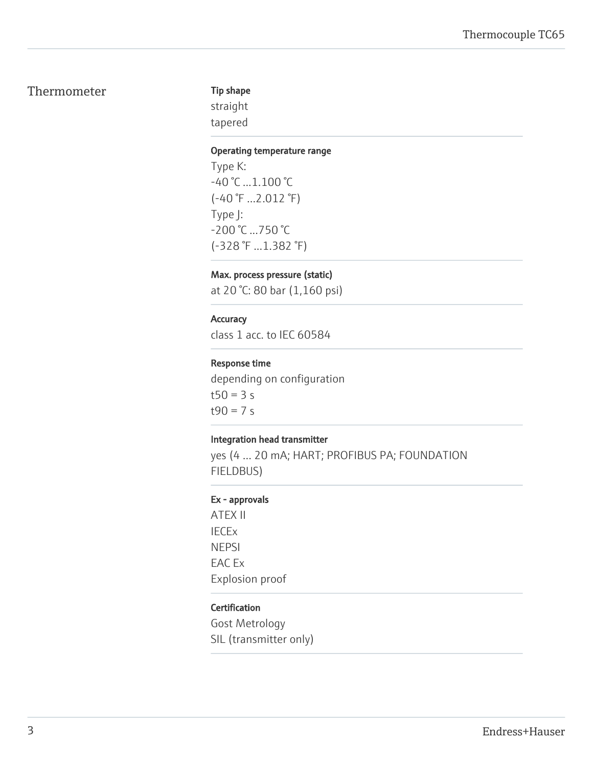# Thermometer

### Tip shape

straight tapered

#### Operating temperature range

Type K: -40 °C ...1.100 °C (-40 °F ...2.012 °F) Type J: -200 °C ...750 °C (-328 °F ...1.382 °F)

# Max. process pressure (static)

at 20 °C: 80 bar (1,160 psi)

## **Accuracy**

class 1 acc. to IEC 60584

## Response time

depending on configuration  $t50 = 3 s$  $t90 = 7 s$ 

### Integration head transmitter

yes (4 … 20 mA; HART; PROFIBUS PA; FOUNDATION FIELDBUS)

#### Ex - approvals

ATEX II IECEx NEPSI EAC Ex Explosion proof

### Certification

Gost Metrology SIL (transmitter only)